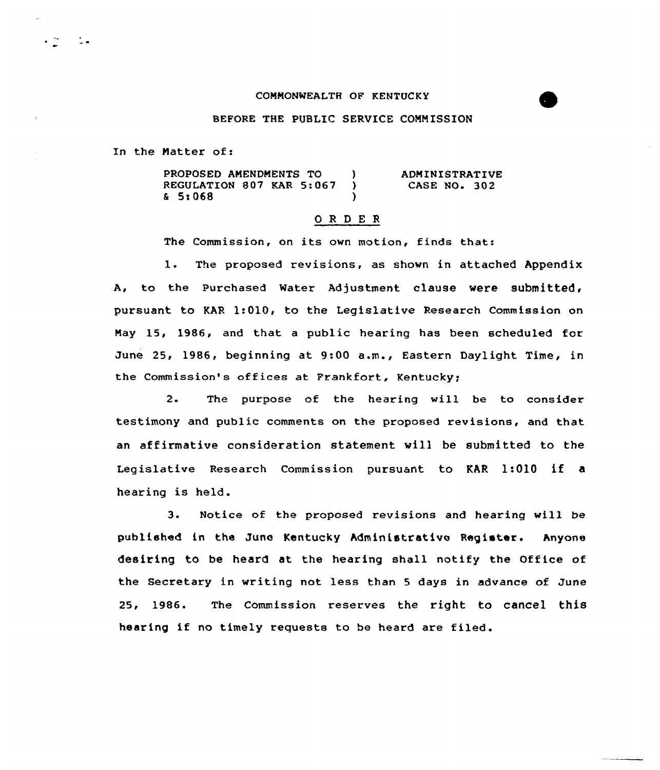# COMMONWEALTH OF KENTUCKY

# BEFORE THE PUBLIC SERVICE CONNISSION

In the Matter of:

 $\ddot{\phantom{1}}$  .

PROPOSED AMENDMENTS TO (1)<br>REGULATION 807 KAR 5:067 ) REGULATION 807 KAR 5:067 ) 5t068 ) ADMINISTRATIVE CASE NO. 302

# O R D E R

The Commission, on its own motion, finds that:

1. The proposed revisions, as shown in attached Appendix A, to the Purchased Water Adjustment clause were submitted, pursuant to KAR 1:010< to the Legislative Research Commission on Nay 15, 1986, and that a public hearing has been scheduled for June 25, 1986, beginning at 9:00 a«m., Eastern Daylight Time, in the Commission's offices at Frankfort, Kentucky;

2. The purpose of the hearing will be to consider testimony and public comments on the proposed revisions, and that an affirmative consideration statement vill be submitted to the Legislative Research Commission pursuant to KAR 1:010 if <sup>a</sup> hearing is held.

3. Notice of the proposed revisions and hearing will be published in the June Kentucky Administrative Register. Anyone desiring to be heard at the hearing shall notify the Office of the Secretary in writing not less than 5 days in advance of June 25, 1986. The Commission reserves the right to cancel this hearing if no timely requests to be heard are filed.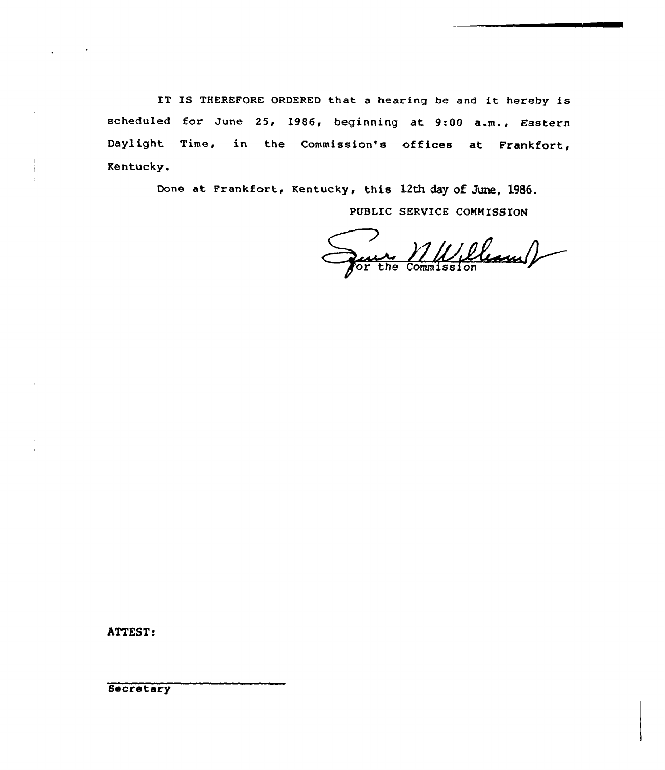IT IS THEREFORE ORDERED that <sup>a</sup> hearing be and it hereby is scheduled for June 25, 1986, beginning at 9:00 a.m., Eastern Daylight Time, in the Commission's offices at Frankfort, Kentucky.

Done at Frankfort, Kentucky, this 12th day of June, 1986.

PUBLIC SERVICE COMMISSION

re MULLLauf

ATTEST:

Secretary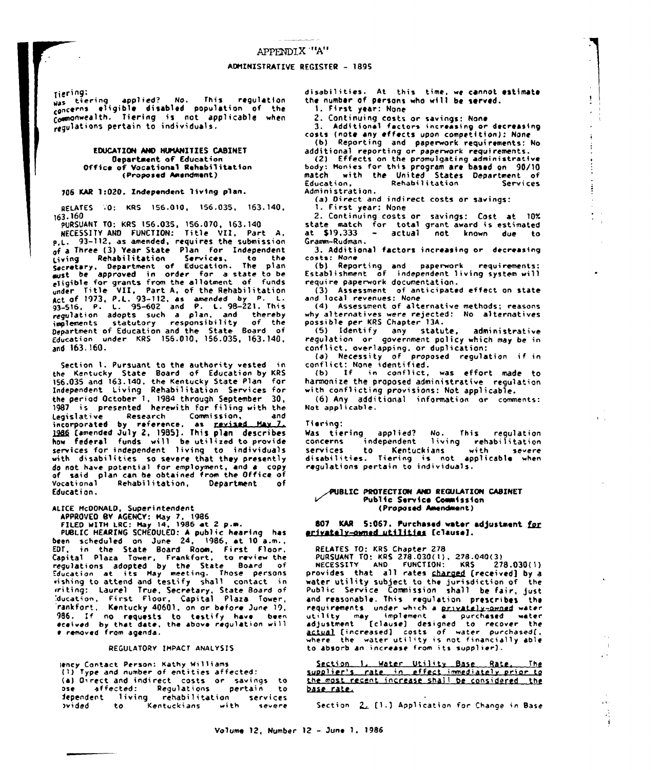Tiering: was tiering applied? No. This regulation was signified: no. ints regulation<br>concerns eligible disabled population of the<br>commonwealth. Tiering is not applicable when<br>regulations pertain to individuals.

#### EDUCATION AND HUMANITIES CABINET **Oepartment of Education** Office of Vocational Rehabilitation (Proposed Amendment)

#### 706 KAR 1:020. Independent living plan.

RELATES 70: KRS 156.010, 156.035, 163.140, 163.160

PURSUANT TO: KRS 156.035, 156.070, 163.140

NECESSITY AND FUNCTION: Title VII, Part A, p.L. 93-112, as amended, requires the submission of a Three (3) Year State Plan for Independent Giving Rehabilitation Services, to the<br>Secretary, Department of Education. The plan<br>aust be approved in order for a state to be aust be approved in order for a state to be<br>eligible for grants from the allotment of funds<br>under Title VII, Part A, of the Rehabilitation<br>gat of 1973, P.L. 93-112, as amended by P. L.<br>93-516, P. L. 95-602 and P. L. 98-22 and 163.160.

Section 1. Pursuant to the authority vested in the Kentucky State Board of Education by KRS<br>156.035 and 163.140, the Kentucky State Plan for Independent Living Rehabilitation Services for the period October 1, 1984 through September 30, 1987 is presented herewith for filing with the Legislative Research Commission, and<br>incorporated by reference, as revised May 7.<br>1986 [amended July 2, 1985]. This plan describes how federal funds will be utilized to provide services for independent living to individuals with disabilities so severe that they presently do not have potential for employment, and a copy of said plan can be obtained from the Office of Vocational Rehabilitation, Department — of Education.

ALICE McDONALD, Superintendent

ALICE McDONALD, Superintendent<br>FILED WITH LRC: May 7, 1986<br>FILED WITH LRC: May 14, 1986<br>PUBLIC MEARING SCHEDULED: A public hearing has<br>been scheduled on June 24, 1986, at 10 a.m.,<br>EDT, in the State Board Room, First Floor, vishing to attend and testify shall contact in riting: Laurel True, Secretary, State Board of ducation, First Floor, Capital Plaza Tower, rankfort, Kentucky 40601, on or before June 19, 986. If no requests to testify have been<br>eceived by that date, the above regulation will e removed from agenda.

#### REGULATORY IMPACT ANALYSIS

lency Contact Person: Kathy Williams (1) Type and number of entities affected: (a) Direct and indirect costs or savings to ose affected: Regulations pose affected: Regulations pose<br>dependent living rehabilitation<br>prided to Kentuckians with pertain to services with severe

disabilities. At this time, we cannot estimate the number of persons who will be served.

ţ

 $\mathbb{C}$ 

 $\mathbf{r}$ 

Ă

1. First year: None

2. Continuing costs or savings: None

3. Additional factors increasing or decreasing costs (note any effects upon competition): None (b) Reporting and paperwork requirements: No

additional reporting or paperwork requirements. (2) Effects on the promulgating administrative body: Monies for this program are based on 90/10 match with the United States Department of<br>Education, Rehabilitation Services Administration.

(a) Direct and indirect costs or savings:

1. First year: None 2. Continuing costs or savings: Cost at 10%<br>state match for total grant award is estimated

at \$19,333 - actual not known due to Gramm-Rudman. 3. Additional factors increasing or decreasing

costs: None

(b) Reporting and paperwork requirements:<br>Establishment of independent living system will require paperwork documentation.

(3) Assessment of anticipated effect on state and local revenues: None

(4) Assessment of alternative methods; reasons why alternatives were rejected: No alternatives<br>possible per KRS Chapter 13A.

(5) Identify any statute, administrative<br>regulation or government policy which may be in conflict, overlapping, or duplication:

(a) Necessity of proposed regulation if in<br>conflict: None identified.

(b) If in conflict, was effort made to harmonize the proposed administrative regulation with conflicting provisions: Not applicable.

(6) Any additional information or comments: Not applicable.

#### Tiering:

Was tiering applied? No. This regulation<br>concerns independent living rehabilitation services to Kentuckians with severe<br>disabilities. Tiering is not applicable when<br>regulations pertain to individuals.

## PUBLIC PROTECTION AND REGULATION CABINET Public Service Commission (Proposed Amendment)

807 KAR 5:067. Purchased water adjustment for arivately-owned utilities (clause).

RELATES TO: KRS Chapter 278

PURSUANT TO: KRS 278.030(1), 278.040(3)<br>NECESSITY AND FUNCTION: KRS 278.030(1)

provides that all rates sharged (received) by a water utility subject to the jurisdiction of the Public Service Commission shall be fair, just and reasonable. This regulation prescribes the requirements under which a privately-owned water requirement a purchased water<br>adjustment [clause] designed to recover the<br>actual [increased] costs of water purchased],<br>where the water utility is not financially able to absorb an increase from its supplier).

Section 1, Water Utility Base Rate, The<br>supplier's rate in effect immediately prior to the most recent increase shall be considered, the base rate.

Section 2, [1.] Application for Change in Base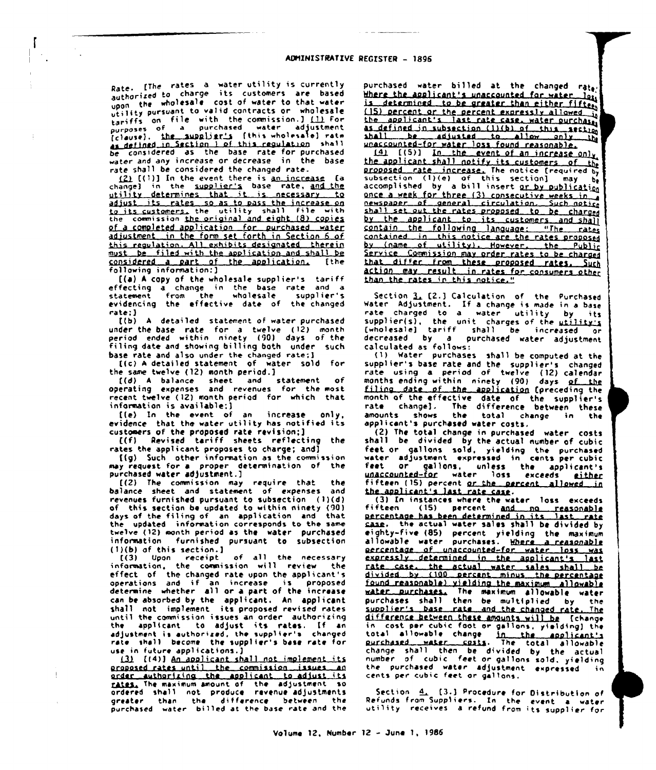Rate. [The rates a water utility is currently authorized to charge its customers are based upon the wholesale cost of water to that water utility pursuant to valid contracts or wholesale tariffs on file with the commission.] (1) for<br>purposes of a purchased water adjustment (clause). the supplier's (this wholesale) rate as defined in Section 1 of this regulation shall considered as the base rate for purchased be water and any increase or decrease in the base rate shall be considered the changed rate.

(2) [(1)] In the event there is an increase change) in the supplier's base rate, and the utility determines that it is necessary \_to adjust its rates so as to pass the increase on<br>to its customers, the utility shall file with<br>the commission the original and eight (8) copies of a completed application for purchased water adjustment in the form set forth in Section 6 of this regulation. All exhibits designated therein be filed with the application and shall be must considered a part of the application. (the following information:]

[(a) A copy of the wholesale supplier's tariff effecting a change in the base rate and a<br>statement from the wholesale supplier's from the wholesale supplier's evidencing the effective date of the changed rate:)

[(b) A detailed statement of water purchased under the base rate for a twelve (12) month<br>period ended within ninety (90) days of the filing date and showing billing both under such base rate and also under the changed rate; ]

[(c) A detailed statement of water sold for the same twelve (12) month period.)

[(d) A balance sheet and statement of<br>operating expenses and revenues for the most recent twelve (12) month period for which that information is available; )

[(e) In the event of an increase only, evidence that the water utility has notified its customers of the proposed rate revision;]

[(f) Revised tariff sheets reflecting the rates the applicant proposes to charge; and]

[(a) Such other information as the commission may request for a proper determination of the purchased water adjustment.]

[(2) The commission may require that the balance sheet and statement of expenses and revenues furnished pursuant to subsection (1)(d) of this section be updated to within ninety (90) days of the filing of an application and that the updated information corresponds to the same twelve (12) month period as the water purchased information furnished pursuant to subsection  $(1)(b)$  of this section.]

Upon receipt of all the necessary  $f(3)$ information, the commission will review the effect of the changed rate upon the applicant's operations and if an increase is proposed determine whether all or a part of the increase can be absorbed by the applicant. An applicant shall not implement its proposed revised rates until the commission issues an order authorizing applicant to adjust its rates. If an the l adjustment is authorized, the supplier's changed rate shall become the supplier's base rate for use in future applications.)

131 ((4)] An applicant shall not implement its proposed rates until the commission issues an order authorizing the applicant to adjust its rates, The maximum amount of the adjustment so ordered shall not produce revenue adjustments greater than the difference between the<br>purchased water billed at the base-rate-and-the

purchased water billed at the changed rate. Where the applicant's unaccounted for water lots is determined to be greater than either fifter, (15) percent or the percent expressly allowed in the applicant's last rate case, water purchase as defined in subsection (1)(b) of this aection unaccounted-for water loss found reasonable.

the applicant shall notify its customers of the proposed rate increase. The notice frequired by<br>subsection (1)(e) of this section] may be - bel accomplished by a bill insert or by publication once a week for three (3) consecutive weeks in newspaper of general circulation. Such notice shall set out the rates proposed to be charged by the applicant to its customers and shall contain the following language: "The rates contained in this notice are the rates proposed<br>by (name of utility), However, the Public Service Commission may order rates to be charged that differ from these proposed rates. Such<br>action may result in rates for consumers other than the rates in this notice."

Section 3. [2.] Calculation of the Purchased water Adjustment. If a change is made in a base<br>rate charged to a water utility by its supplier(s), the unit charges of the utility's<br>
(wholesale) tariff shall be increased or<br>
decreased by a purchased water adjustment calculated as follows:

(1) Water purchases shall be computed at the supplier's base rate and the supplier's changed rate using a period of twelve (12) calendar months ending within ninety (90) days of the filing date of the application (preceding the month of the effective date of the supplier's rate change). The difference between these<br>amounts shows the total change in the applicant's purchased water costs.

(2) The total change in purchased water costs shall be divided by the actual number of cubic feet or gallons sold, yielding the purchased<br>water adjustment expressed in cents per cubic<br>feet or gallons, unless the applicant's<br>unaccounted-for water loss exceeds either fifteen (15) percent or the percent allowed in the applicant's last rate case.

(3) In instances where the water loss exceeds fifteen (15) percent and no reasonable<br>percentage has been determined in its last rate case. the actual water sales shall be divided by eighty-five (85) percent yielding the maximum allowable water purchases. Where a reasonable allowable water purtnesss. monder loss was<br>gereentage of unaccounted-for water loss was expressly determined in the applicant's rate case. the actual water sales shall be divided by (100 percent minus the percentage found reasonable) visiding the maximum allowable water purchases. The maximum allowable water<br>purchases shall then be multiplied by the supplier's base rate and the changed rate. **Ihe** difference between these amounts will be [change<br>in cost per cubic foot or gallons, yielding] the total allowable change in the applicant's<br>purchased water casts. The total allowable<br>change shall then be divided by the actual<br>number of cubic feet or gallons sold, yielding the purchased water adjustment expressed cents per cubic feet or gallons.

Section 4. [3.] Procedure for Distribution of Refunds from Suppliers. In the event a water utility receives a refund from its supplier for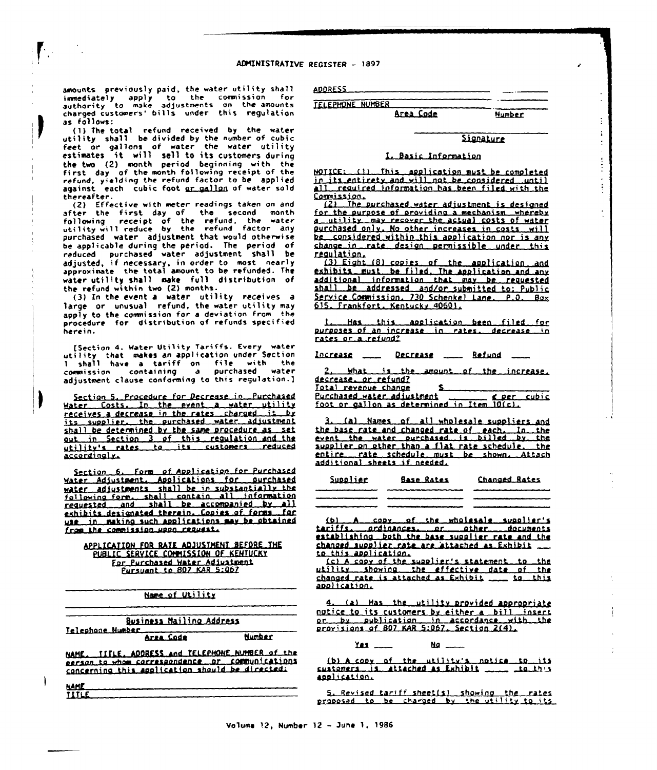amounts previously paid, the water utility shall inmediately apply to the commission for<br>authority to make adjustments on the amounts charged customers' bills under this regulation as follows:

(1) The total refund received by the water<br>utility shall be divided by the number of cubic<br>feet or gallons of water the water utility estimates it »i]1 sell to its customers during (2) month period beginning with the first day of the month following receipt of the refund, yielding the refund factor to be applie against each cubic foot <u>or gallon</u> of water sold thereafter.

(2) Effective with meter readings taken on and after the first day of the second month following receipt of the refund, the water<br>utility will reduce by the refund factor any purchased water adjustment that would otherwise be applicablc during the period. The period of reduced purchased ~ater adjustment shall be adjusted, if necessary, in order to mast near)y approximate the total amount to be refunded. Thc water utility shall make full distribution of the refund within two (2) months.

(3) In the event a water utility receives a large or unusual refund, the water utility may apply to the commission for a deviation from the procedure for distribution of refunds specified herein.

[Section 4. Water Utility Tariffs. Every water utility that makes an appli cation under Section <sup>1</sup> shall have <sup>a</sup> tariff on file with the caemrissian containing a purchased water adjustment clavse conforming ta this regulation.]

Section 5. Procedure for Decrease in Purchased Hater Costs. In the event a water utility receives a decrease in the rates charged it by its supplier, the purchased water adjustment shall be determined by the same procedure as set out in Section 3 of this regulation and the utility's rates to its customers reduced accordingly.

Section 6. Form of Application for Purchased Hater Adjustment. Applications for purchase water adjustments shall be in substantially the<br>fallowing form, shall contain all information<br>requested and shall be accompanied by all exhibits designated therein. Conies of forms for use in making such applications may be obtained from the commission upon request.

APPLICATION FOR RATE ADJUSTMENT BEFORE THE PUBLIC SERVICE COMMISSION OF KENTUCKY For Purchased Mater Adjustment Pursuant to 807 KAR 5:067

Name of Utility

| Business Mailing Address<br>Telephone Number                                                        |        |  |
|-----------------------------------------------------------------------------------------------------|--------|--|
| Area Code                                                                                           | Number |  |
| NAME. TITLE, ADDRESS and TELEPHONE NUMBER of the<br>person to whom correspondence or communications |        |  |

eerson to whom carrespondence or communication<br>concerning this application should be directed:

| NAME         |  |
|--------------|--|
| <b>TITLE</b> |  |

ADDRESS

TELEPHONE NUHBER Area Cods

**Number** 

 $\vdots$ İ

## Sianaturc

## I. Basic Information

 $MOTICE: 11$  This application must be completed in its entirety and will not be considered until all required information has been filed with the Comission.

(2) The purchased water adjustment is designed<br>for the purpose of providing a mechanism (whereby a utility may recover the actual costs of water ourchascd anlv. No other increases in casts wil'1 be considered within this application nor is any change in rate design permissible under this reaulatian.

(3) Eight (8) copies of the application and exhibits must be filed. The application and any additional information that may be requested shall be addressed and/or-submitted-to: Public<br>Service Commission, 730 Schenkel Lane, P.O. Box 615 frankfort. Kentuckv 40601.

Has this application been filed for purposes of an increase in rates. decrease in rates or a refund?

Increase \_\_ Decrease \_\_ Refund \_\_

What is the amount of the increase. decrease. or refund?

£.

Total revenue change

Purchased water adjustment compared cubic foot or aallnn as determined in Item 10(c).

3. (a) Names of all wholesale suppliers and the base rate and chanoed rate of each. In the<br>event the water purchased is billed by the<br>supplier on other than a flat rate schedule. the entire rate schedule must be shown. Attach additional sheets if needed.

| Supplier | <b>Base Rates</b>                                                              | Changed Rates |
|----------|--------------------------------------------------------------------------------|---------------|
|          | بالتاريب وإنجالهم والمتجدد والتالي والتواف والتواجد والمتاسب والتاريخ والتاريخ |               |
|          |                                                                                |               |
|          |                                                                                |               |
|          |                                                                                |               |

(b) <sup>A</sup> canv af the wha)esa)s sunnlter's tariffs. ordinances. nr other documents establishing both the base supplier rate and the chanaed suan)ter rate are 'attached es Exhibit ta this enolicatian.

(c) A capy of the supplier's statement to the utility showing the effective date of the changed rate is attached as Exhibit \_\_ to this application.

4. (a) Has the utility provided appropriate notice to its customers bv either e bill insert. or bv nub) icatian in accordance «tth the provisions of 807 KAR 5:067. Section 2(4).

#### Yes... **Ho**

 $\frac{1}{100}$  A copy of the utility's notice to it customers is attached as Exhibit ...... ... enn)(cat'ian,

5. Revised tariff sheet(s) showing the rates<br>proposed to be charged by the utility to it: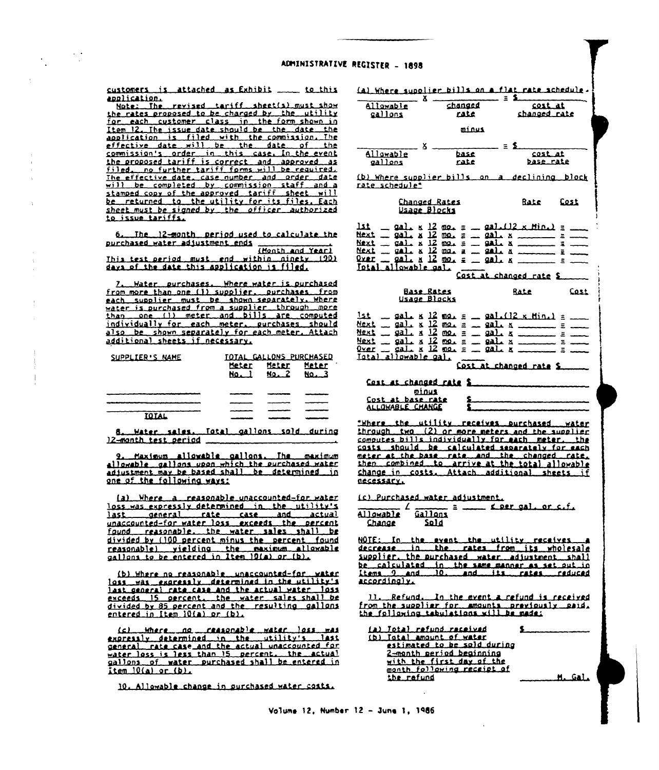customers is attached as Exhibit ... to this application.

Note: The revised tariff sheet(s) must show the rates proposed to be charged by the utility<br>for each customer class in the form shown in<br>tem 12. The issue date should be the date the<br>application is filled with the commission. The effective date will be the date of the commission's order in this case. In the event the proposed tariff is correct and approved as<br>filed, no further tariff forms will be required.<br>The effective date, case number and order date will be completed by commission staff and a<br>stamped copy of the approved tariff sheet will be returned to the utility for its files. Each sheet must be signed by the officer authorized

The 12-month period used to calculate the 6. 

This test period must end within ninety 1201 days of the date this application is filed.

Water purchases. Where water is purchased  $\mathbf{z}_{\bullet}$ from more than one (1) supplier. purchases from each supplier must be shown separately. Where water is purchased from a supplier through more than one (1) meter and bills are computed individually for each meter, purchases should also be shown separately for each meter. Attach additional sheets if necessary.

| SUPPLIER'S NAME | <b>Meter</b><br><b>No.</b> 1 | TOTAL GALLONS PURCHASED<br>Meter<br>No. 2 | Meter<br>No. 3 |
|-----------------|------------------------------|-------------------------------------------|----------------|
|                 |                              |                                           |                |
|                 |                              |                                           |                |
|                 |                              |                                           |                |
| <b>TOTAL</b>    |                              |                                           |                |

Water sales, Total gallons sold during 8. 12-month test period

2. Maximum allowable callons. The maximum<br>allowable gallons upon which the purchased water<br>adjustment may be based shall be determined in one of the following ways:

(a) Where a reasonable unaccounted-for water loss was expressly determined in the utility's last general rate case and actual<br>unaccounted-for-water-loss exceeds the percent found reasonable, the water sales shall be divided by (100 percent minus the percent found<br>reasonable), vielding, the maximum allowable<br>gallons to be entered in Item 10(a) or (b).

(b) Where no reasonable unaccounted-for. **MALEC** loss was expressly determined in the utility's last general rate case and the actual water loss exceeds 15 percent, the water sales shall be<br>divided by 85 percent and the resulting gallons entered in Item 10(a) or (b).

<u>Mhere ag ceasonable water loss.</u>  $(c)$ **RAS** expressly determined in the utility's last water loss is less than 15 percent. the actual<br>gallons of water purchased shall be entered in  $item 10(a) or (b).$ 

10. Allowable change in surchased water costs.

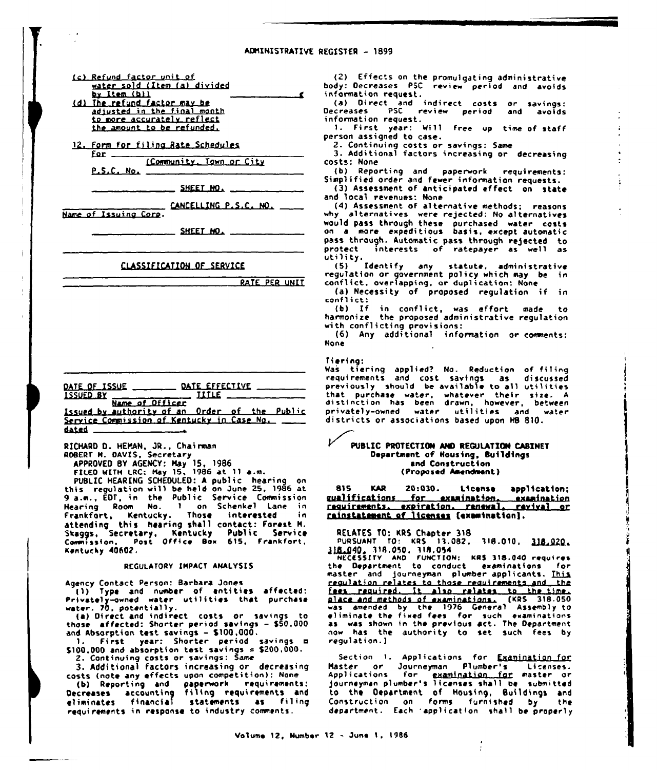(c) Refund factor unit of water sold (Item (a) divided by Item (b)) (d) The refund factor may be

adjusted in the final month to more accurately reflect the amount to be refunded.

12. Form for filing Rate Schedules for  $-$ 

(Community, Town or City  $P.S.C.$  No.

SHEET NO.

CANCELLING P.S.C. NO.

Name of Issuing Corp.

SHEET NO.

## CLASSIFICATION OF SERVICE

RATE PER UNIT

|             | DATE OF ISSUE ______                                             | DATE EFFECTIVE _____<br>$\frac{1}{2}$ iiiie $\frac{1}{2}$ |  |  |
|-------------|------------------------------------------------------------------|-----------------------------------------------------------|--|--|
| $ISSUED_BT$ | Name of Officer<br>Issued by authority of an Order of the Public |                                                           |  |  |
| dated       | Service Commission of Kentucky in Case No.                       |                                                           |  |  |

RICHARD D. HEMAN, JR., Chairman ROBERT M. DAVIS, Secretary

APPROVED BY AGENCY: May 15, 1986<br>FILED WITH LRC: May 15, 1986 at 11 a.m.

PUBLIC HEARING SCHEDULED: A public hearing on this regulation will be held on June 25, 1986 at<br>9 a.m., EDT, in the Public Service Commission Hearing Room No. 1 on Schenkel Lane in<br>Frankfort, Kentucky. Those interested in<br>attending this hearing shall contact: Forest H.<br>Skaggs, Secretary, Kentucky Public Service Post Office Box 615, Frankfort,  $Comm<sub>1</sub>$  is  $ion.$ Kentucky 40602.

REGULATORY IMPACT ANALYSIS

Agency Contact Person: Barbara Jones (1) Type and number of entities affected:<br>Privately-owned water utilities that purchase water. 70, potentially.

(a) Direct and indirect costs or savings those affected: Shorter period savings - \$50.000 and Absorption test savings - \$100,000.<br>1. First year: Shorter period savings =

\$100,000 and absorption test savings  $= $200,000$ .

2. Continuing costs or savings: Same<br>3. Additional factors increasing or decreasing

costs (note any effects upon competition): None

Costs those any extra paperwork requirements:<br>Decreases accounting and paperwork requirements and<br>eliminates financial statements as filing requirements in response to industry comments.

(2) Effects on the promulgating administrative body: Decreases PSC review period and avoids information request.

(a) Direct and indirect costs or savings:<br>Decreases PSC review period and avoids information request.

1. First year: Will free up time of staff person assigned to case.

2. Continuing costs or savings: Same<br>3. Additional factors increasing or decreasing costs: None

(b) Reporting and paperwork requirements: Simplified order and fewer information requests.

(3) Assessment of anticipated effect on state and local revenues: None

(4) Assessment of alternative methods: reasons why alternatives were rejected: No alternatives would pass through these purchased water costs<br>on a more expeditious basis, except automatic<br>pass through. Automatic pass through rejected to interests of ratepayer as well as protect

proces<br>utility.<br>'5) Identify any statute, administrative regulation or government policy which may be in conflict, overlapping, or duplication: None

(a) Necessity of proposed regulation if in conflict:

(b) If in conflict, was effort made to<br>harmonize the proposed administrative regulation with conflicting provisions:

(6) Any additional information or comments: **None** 

#### Tiering:

Was tiering applied? No. Reduction of filing requirements and cost savings as discussed<br>previously should be available to all utilities that purchase water, whatever their size. A<br>distinction has been drawn, however, between<br>privately-owned water utilities and water districts or associations based upon HB 810.

## PUBLIC PROTECTION AND REGULATION CABINET Department of Housing, Buildings and Construction (Proposed Amendment)

815 **KAR** 20:030. License application: gualifications for examination. qualifications for examination, examination<br>requirements, expiration, renewal, revival or rainstatement of licenses (examination).

RELATES TO: KRS Chapter 318

PURSUANT TO: KRS 13.082, 318.010, 318.020.

18.040. 318.050, 318.054<br>WECESSITY AND FUNCTION: KRS 318.040 requires<br>the Department to conduct examinations for master and journeyman plumber applicants. This regulation relates to those reguirements and the Fexa required. It also relates to the time.<br>also relates to the time.<br>also and methods of examinations. (KRS 318.050<br>was amended by the 1976 General Assembly to<br>eliminate the fixed fees for such examinations<br>as was shown i now has the authority to set such fees by regulation.]

Section 1. Applications for Examination for Master or Journeyman Plumber's Licenses.<br>Applications for <u>examination for</u> master or<br>journeyman plumber's licenses shall be submitted to the Department of Housing, Buildings and Construction on forms furnished by the department. Each 'application shall be properly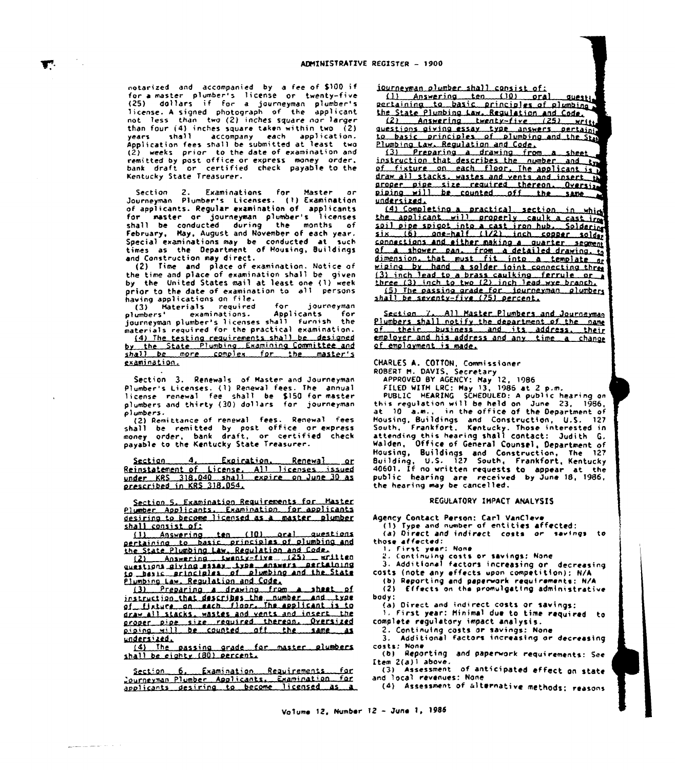notarized and accompanied by a Fee of S100 if for a master plumber's license or twenty-fiv (25) dollars if for <sup>a</sup> journeyman plumber's license. A signed photograph of the applicant not less than two (2) inches square nar )argcr than four  $(4)$  inches square taken within two  $(2)$ <br>years shall accompany each application. shall accompany each application. Application fees shall be submitted at )east two (2) «ceks prior to the date of examination and remitted by post office or express money order,<br>bank draft or certified check payable to the Kentucky State Treasurer.

Ţ.

Section 2. Examinations For Haster or Journeyman Plumber's Licenses. {1} Examination oF applicants. Regular examination of applicants for master or journeyman plumber's licenses shall be conducted during the months of February, May, August and November of each year. Special examinations may be conducted at sveh times as the Department of Housing, Buildings and Construction may direct.

{2) Time and place of examination. Nottee af the time and place of examination shall be given by the United States mail at least one (1) week prior to the date of examination to all persons having applications on ftle.

(3) Haterials required for journeyman<br>plumbers' examinations. Applicants for plumbers' examinations. Applicants for<br>journeyman plumber's licenses shall furnish the materials required for the practica) examination. (4) The testing requirements shall be designed

by the State Plumbing Examining Committee and shall be more complex for the master's examination.

Section 3. Renewals of Master and Journeyman Plumber's Licenses. (1) Renewal fees. The annual license renewal fee shall be \$150 for-maste<br>plumbers and thirty (30) dollars: for journeyma p}umbcrs.

(2) Remi ttanee of renewal fees. Renewal Fees shall be remitted by post office or expres money order, bank draft, or certified check payable to the Kentucky State Treasurer.

Section 4. Expiration. Renewa Reinstatement of License. All licenses issue<br>under KRS 318.040 shall expire on June 30 a oreseribed in KRS 318.054.

Section 5. Examination Requirements for Haster Plumber Applicants. Examination for applicant desiring to become licensed as a master plumb shall consist of:<br>(1) Answering

<sup>f</sup> 1) Ans»erina ten (10) ard) aucstions aertainina to basic orinciales nf olumbina the State Plumbina Law. Rcaulatian and Cade (1) Answering ten (10) oral question:<br>rtaining to basic principles of plumbing ans<br>e State Plumbing Law.Regulation.and Code.<br>(2) Answering masay Lype Answers pertaining<br>estions.giving.masay Lype Answers pertaining

aussinoma diving same item answers pertaining Plumbing Law, Regulation and Code.<br>(3) Preparing a drawing from

(3) Preparing a drawing from a sheet flumbing Law. Regulation and Code.<br>(3) Preparing a drawing from a sheet of<br>instruction that describes the number and type<br>of fixture on each floor. The applicant is to draw all stacks, wastes and vents and insert the oroper pipe size required thereon. Oversized<br>piping will be counted aff the same as undersized.

(4) The passing grade for master plumbers sha'll be eiahtv (80) nereent.

Section 6. Examination Requirements for<br>Journeyman Plumber Applicants. Examination for applicants desiring to become licensed as a

والمحافظ للمستنقذ

fourneyman olumber shall consist of:<br>(1) Answering ten (10) oral questi<br>pertaining to basic principles of plumbing

the State Plumbing Law. Regulation and Code.  $(2)$  Answering twenty-five  $(25)$  write (2) Answering twenty-five (25) writter. average average answers pertain to basic principles of plumbing and the State Plumbina Law. Reaulatian and Code.

(3) Prenarina a drawina from a sheet instruction that describes the number and type of fixture on each floor. The applicant is draw all stacks, wastes and vents and insert th aroper pipe size required thereon. Oversize piping will be counted off the same undersized. oper pipe size required thereon, Oversian<br>ping will be counted off the same<br>dersized,<br>(4) Completing a practical section in which

the applicant will properly caulk a cast i soil pipe spigot into a cast iron hub. Soldering<br>six (6) anc-half (1/2) inch copper solder<br>connections and either making a quarter seament dimension. that must fit into a temp a shower pan, from a detailed drawin wiping by hand a solder igint connecting three  $f(3)$  inch lead to a brass caulking ferrule or  $\overline{f}$ three (3) inch to two (2) inch lead wye branch.  $(5)$  The passing grade for journeyman plumbers shall be seventy-five (75) percent.

Section Y. All Master Plumbers and Journeyman<br>Plumbers shall notify the department of the name Plumbers shall notify the department of the name<br>of their business and its address. their employer and his address and any time a change<br>of employment is made.

CHARLES A. COTTON, Commissioner ROBERT M. DAVIS, Secretary

APPROVED BY AGENCY: May 12, 1986<br>FILED WITH LRC: May 13, 1986 at 2 p.m.<br>PUBLIC [HEARING] SCHEDULED: A public hearing on

this regulation will be held on June 23, 1986, at 10 a.m., in the office of the Department of Housing, Buildings and Construction, U.S. 127 South, Frankfort. Kentucky. Those interested in attending this hearing Shall contact: Judith G. Walden, Office of General Counsel, Department of Housing, Buildings and Construction, The 127 Building, U.S. 127 South, Frankfort, Kentucky 40601. If no written requests to appear at the public hearing are received by June 18, 1986, the hearing may be cancelled.

#### REGULATORY IHPACT ANALYSIS

Agency Contact Person: Carl VanCleve

(1) Type and number of entities affected:

- (a) Direct and indirect costs or savings to those affected:<br>
1. First year: None
	-
	-

2. Continuing costs or savings: None 3. Addit{Onal faCtart inCreaSing Or deCreaaing

costs {note any effects upon competition); N/A {b}Reporting and paper»ark requirements: N/A

(2) Effects on the promulgating administrative body;

{a) Direct and indirect costs or savingt:

First year: Hinimal due to time required to complete regulatory impact analysis.

2. Continuing costs or savings: None<br>3. Additional factors increasing or decreasin casts; None

(b) Reporting and paperwork requirements: See Item 2(a)1 above.

(3) Assessment of anticipated effect on state and local revenues: None

{4} Assessmcnt of alternative methods: reasons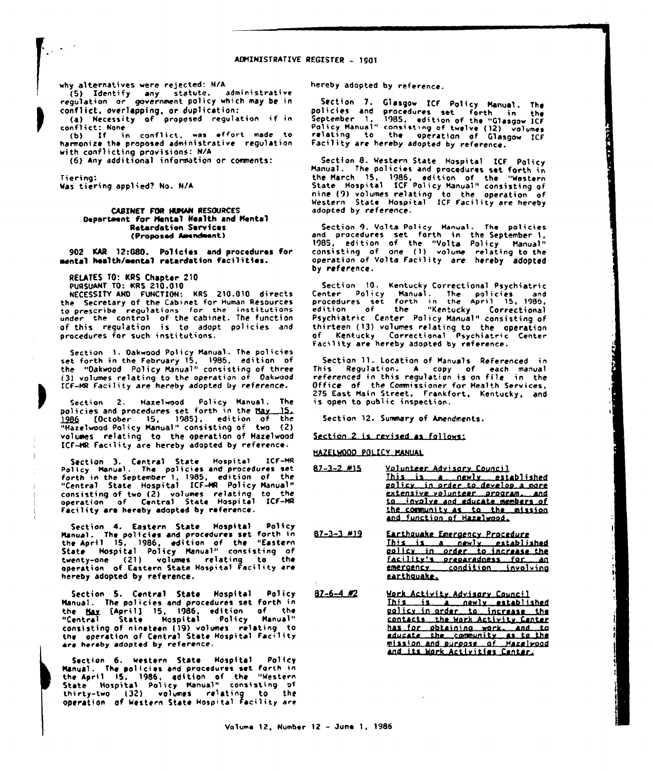why alternatives were rejected: N/A

 $\sim$ 

(5) Identify any statute, administrative<br>regulation or government policy which may be in conflict, overlapping, or duplication:

(a) Necessity of proposed regulation if in conflict: None (b) If in conflict, was effort made to

harmonize the proposed administrative regulation with conflicting provisions: N/A

(6) Any additional information or comments:

Tierina: Was tiering applied? No. N/A

### **CABINET FOR HUMAN RESOURCES** Department for Mental Health and Mental **Retardation Services** (Proposed Amendment)

902 KAR 12:080. Policies and procedures for mental health/mental retardation facilities.

RELATES TO: KRS Chapter 210

PURSUANT TO: KRS 210.010

NECESSITY AND FUNCTION: KRS 210.010 directs the Secretary of the Cabinet for Human Resources the secribe regulations for the institutions<br>under the control of the cabinet. The function<br>of this regulation is to adopt policies and procedures for such institutions.

Section 1. Oakwood Policy Manual. The policies set forth in the February 15, 1986, edition of<br>the "Oakwood Policy Manual" consisting of three (3) volumes relating to the operation of Oakwood ICF-MR Facility are hereby adopted by reference.

Section 2. Hazelwood Policy Manual. The<br>policies and procedures set forth in the May 15. 1986 [October 15, 1985], edition of the "Hazelwood Policy Manual" consisting of two (2) volumes relating to the operation of Hazelwood ICF-HR Facility are hereby adopted by reference.

Section 3. Central State Hospital ICF-MR Policy Manual. The policies and procedures set forth in the September 1, 1985, edition of the<br>"Central State Hospital ICF-MR Policy Manual" consisting of two (2) volumes relating to the<br>operation of Central State Hospital ICF-MR Facility are hereby adopted by reference.

Policy Section 4. Eastern State nospital rules,<br>Manual. The policies and procedures set forth in<br>the April 15, 1986, edition of the "Eastern<br>State Hospital Policy Manual" consisting of<br>the theory (21) volumes relating to the Section 4. Eastern State Hospital twenty-ane (21) volumes relating to the<br>operation of Eastern State Hospital Facility are hereby adopted by reference.

Section 5. Central State Hospital Policy Manual. The policies and procedures set forth in the May [April] 15, 1986, edition of the<br>"Central State Mospital Policy Manual" consisting of nineteen (19) volumes relating to<br>the operation of Central State Hospital Facility are hereby adopted by reference.

Section 6. Western State **Hospital** Palicy Sacrim State Hospital Photography and procedures set forth in<br>the April 15, 1986, adition of the "Western<br>State Hospital Policy Manual" consisting of<br>thirty-two (32) volumes relating to the operation of Western State Hospital Facility are

hereby adopted by reference.

Section 7. Glasgow ICF Policy Manual. The policies and procedures set forth in the periodicies and procedures set forth in the Policy Manual" consisting of twelve (12) volumes<br>relating to the operation of Glasgow ICF<br>relating to the operation of Glasgow ICF Facility are hereby adopted by reference.

Section 8. Western State Hospital ICF Policy Manual. The policies and procedures set forth in the March 15, 1986, edition of the "Western<br>State Hospital ICF Policy Manual" consisting of nine (9) volumes relating to the operation of<br>Western State Hospital ICF facility are hereby adopted by reference.

Section 9. Valta Policy Manual, The policies<br>and procedures set forth in the September 1, 1985, edition of the "Volta Policy Manual"<br>consisting of one (1) volume relating to the<br>operation of Volta Facility are hereby adopted by reference.

Section 10. Kentucky Correctional Psychiatric<br>Center Policy Manual. The policies and<br>procedures set forth in the April 15, 1986,<br>edition of the "Kentucky Correctional<br>Psychiatric Center Policy Manual" consisting of thirteen (13) volumes relating to the operation of Kentucky Correctional Psychiatric Center Facility are hereby adopted by reference.

Section 11. Location of Manuals Referenced in<br>This Regulation. A copy of each manual<br>referenced in this regulation is on file in the Office of the Commissioner for Health Services, 275 East Main Street, Frankfort, Kentucky, and is open to public inspection.

Section 12. Summary of Amendments.

Section 2 is revised as follows:

HAZELWOOD POLICY MANUAL

- $82 3 2$  #15 Velunteer Advisory Council This is a newly established policy in order to develop a more extensive volunteer program, and to involve and educate members of the community as to the mission and function of Hazelwood,
- $87 3 3$  #19 Earthquake Emergency Procedure This is a newly established<br>golicy in order to increase the facility's preparadness for an earthquake.
- $87 6 4$  #2 Mork Activity Advisory Council Ihis is a newly established palicy in order to increase the contacts the Work Activity Center has for obtaining work, and to<br>educate the community as to the<br>mission and surgose of Mazelwood and its Work Activities Center.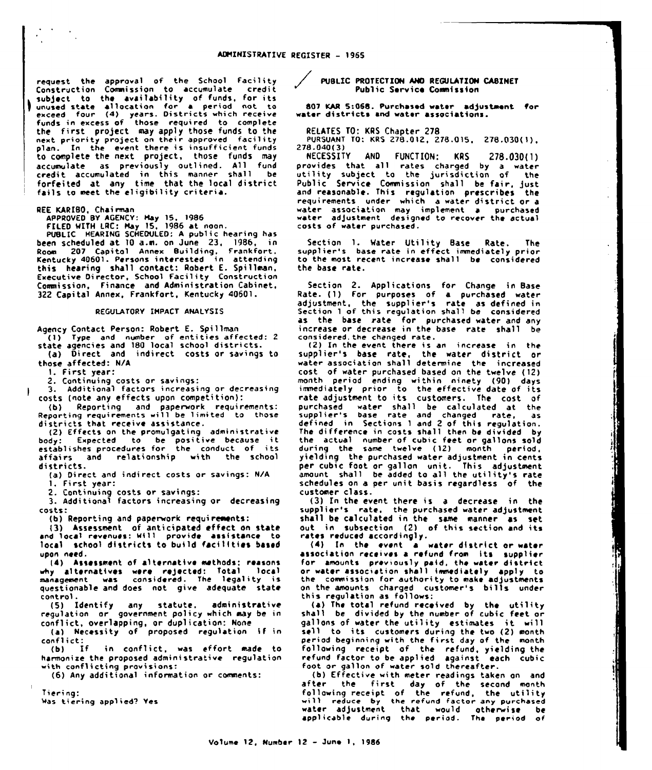request the approval of the School Facility Construction Commission to accumulate credit subject to the availability of funds, for its unused state allocation for a period not to exceed four (4) years. Districts which receive funds in excess of those required to complet the first project may apply those funds to the next priority project on their approved facilit<br>plan. In the event there is insufficient fund to complete the next project, those funds may accumulate as previously outlined. All fund credit accumulated in this manner shall be forfeited at any time that the local district fails to meet the eligibility criteria.

REE KARIBO, Chairman

APPROVED BY AGENCY: Hay 15, 1986 FILED MITN LRC: Nay 15. 1986 at noon.

PUBLIC HEARING SCHEDULED: <sup>A</sup> public hearing has been scheduled at 10 a.m. on June 23, 19B6, in Room 207 Capitol Annex Building, Frankfort. Kentucky 40601. Persons interested in attendin9 this hearing shall contact: Robert E. Spillman, Executive Director, School Facility Construction Commission, Finance and Administration Cabinet. 322 Capital Annex, Frankfort, Kentucky 40601.

## REGULATORY IHPACT ANALYSIS

Agency Contact Person: Robert E. Spillman ( 1) Type and number of entities affected: <sup>2</sup> state agencies and <sup>180</sup> local school districts. (a) Direct and indirect costs or savings to those affected: N/A

l. First year:

2. Continuing costs or savings: 3. Additional factors increasing or decreasing costs (note any effects upon competition):

(b) Reporting and paperwork requirements<br>Reporting requirements will be limited to those districts that receive assistance.

(2) Effects on the promulgating administrative<br>body: Expected to be positive because it<br>establishes procedures for the conduct of its affairs and relationship with the school districts.

(a) Direct and indi rect costs or savings: N/A 1. First year:

2. Continuing costs or savings:

3. Additional factors increasing or decreasing costs:

(b) Reporting and paperwork requirements:

{3) Assessment of anticipated effect on state and local revenues: wi11 provide assistance to local school districts to build facilities based upon need.

l4) Assessment of alternative methods; reasons why alternatives were rejected: Total local<br>management was considered. The legality is questionable and does not give adequate state control.

(5) Identify any statute. administrative regulation or government policy which may be in conflict, overlapping, or duplication: None

(a) Necessity of proposed regulation if in

conflict:<br>(b) If in conflict, was effort made to harmonize the proposed administrative regulatian with conflicting provisions:

(6) Any additional information or consnents:

Tiering:

Was tiering applied? Yes

PUBLIC PROTECTION AND REGULATION CABINET Public Service Commission

807 KAR 5:068. Purchased water adjustment for water districts and water associations.

RELATES TO: KRS Chapter 278

PURSUANT TO: KRS 278.012, 278.015, 278.030(1),<br>278.040(3)<br>NECESSITY AND FUNCTION: KRS 278.030(1)

NECESSITV AND FUNCTION: KRS 278.{)3{){1) provides that all rates charged by a water utility subject to the jurisdiction of the Public Service Commission shall be fair, just<br>and reasonable. This regulation prescribes the requirements under «hich a water district ar a water association may implement a purchased abater adjustment designed to recover the actual costs of water purchased.

Section 1. Water Utility Base Rate. The<br>supplier's base rate in effect immediately prior to the most recent. increase shall be considered the base rate.

Section 2. Applications for Change in Base Rate. {1) For purposes of a purchased water adjustment, the supplier's rate as defined in Section <sup>1</sup> of this regulation shall be considered as the base rate for purchased water and any increase or decrease in the base rate shall be considered. the changed rate.

(2) In the event there is an increase in the supplier's base rate, the water district of water association shall determine the increase cost of water purchased based on the twelve ( 12) month period ending within ninety (90) days inmiediately prior to the effective date of its rate adjustment to its customers. The cost of purchased ~ater shall be calculated at the supplier's base rate and changed rate, as defined in Sections <sup>1</sup> and 2 of this regulation. The difference in costs shall then be divided by the actual number of cubic feet or gallons sold during the same twelve (12) month period,<br>yielding the purchased water adjustment in cent; per cubic foot or gallon unit. This adjustment<br>amount shall be added to all the utility's rate schedules an a per unit basis regardless of the customer class.

(3) In the event there is a decrease in the supplier's rate, the purchased water adjustment shall be calculated in the same manner as set out in subsection (2) of this section and its rates reduced accordingly.

 $(4)$  In the event  $a'$  water district or water association receives a refund from lits supplie for amounts previously paid, the water district or water association shall immediately apply to the commission for authority to make adjustments on the amounts charged customer's bills under this regulation as follows:

(a) The total refund received by the utility shall be divided by the number of cubic feet or gallons of water the utility estimates it will sell to its customers during the two (2) month period beginning with the first day of the month following rcccipt of the refund, yielding the refund factor to be applied against each cubic foot or gallon of water sold thereafter.

(b) Effective with meter readings taken on and after the first day of the second mont following receipt of the refund, the utilit<br>will reduce by the refund factor any purchase water adjustment that would otherwise be applicable during the period. The period of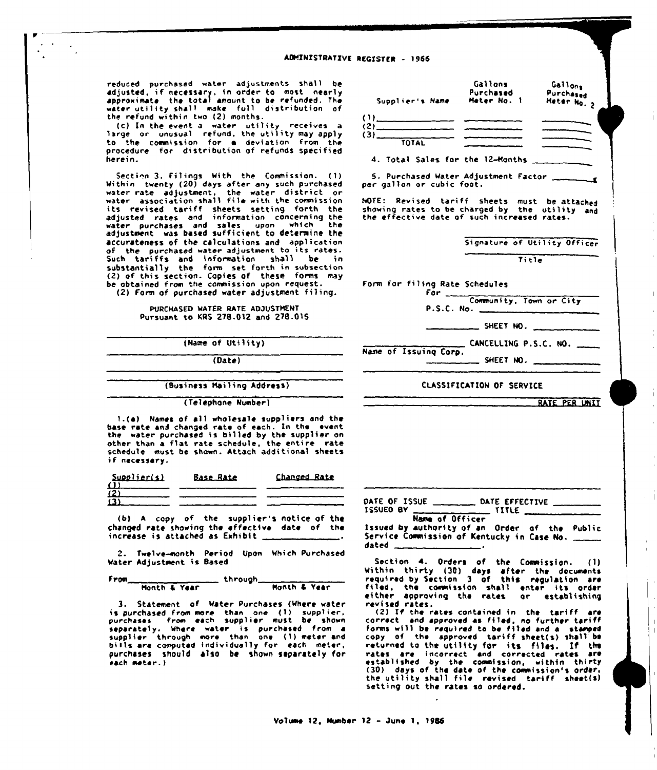reduced purchased water adjustments shall be required, if necessary, in order to most nearly<br>approximate the total amount to be refunded. The<br>water utility shall make full distribution of<br>the refund within two (2) months.

(c) In the event a water utility receives a<br>large or unusual refund, the utility may apply<br>to the commission for a deviation from the procedure for distribution of refunds specified herein.

Section 3. Filings With the Commission. (1)<br>Within twenty (20) days after any such purchased water rate adjustment, the water district or water association shall file with the commission water association short the entire construction<br>adjusted rates and information concerning the<br>water purchases and sales, upon which the adjustment was based sufficient to determine the accurateness of the calculations and application of the purchased water adjustment to its rates. Such tariffs and information shall be in substantially the form set forth in subsection<br>(2) of this section. Copies of these forms may be abtained from the commission upon request. (2) Form of purchased water adjustment filing.

> PURCHASED WATER RATE ADJUSTMENT Pursuant to KRS 278.012 and 278.015

> > (Name of Utility)

 $(Date)$ 

# (Business Mailing Address)

(Telephone Number)

1.(a) Names of all wholesale suppliers and the base rate and changed rate of each. In the event<br>the water purchased is billed by the supplier on other than a flat rate schedule, the entire rate schedule must be shown. Attach additional sheets if necessary.

| Supolier(s)         | <b>Base Rate</b> | Changed Rate |
|---------------------|------------------|--------------|
| $\mathbf{u}$<br>(2) |                  |              |
| (3)                 |                  |              |
|                     |                  |              |

(b) A copy of the supplier's notice of the changed rate showing the effective date of the increase is attached as Exhibit.

2. Twelve-month Period Upon Which Purchased Water Adjustment is Based

through Month & Year From\_ Month & Year

3. Statement of Water Purchases (Where water is purchased from more than one (1) supplier,<br>purchases from each supplier must be shown<br>separately. Where water is purchased from a<br>supplier through more than one (1) meter and<br>bills are computed individually for each met purchases should also be shown separately for each meter.)



NOTE: Revised tariff sheets must be attached<br>showing rates to be charged by the utility and<br>the effective date of such increased rates.

Signature of Utility Officer

Title

Form for filing Rate Schedules

| r u 1      |                         |  |
|------------|-------------------------|--|
|            | Community, Town or City |  |
| P.S.C. No. |                         |  |

\_ SHEET NO. \_

CANCELLING P.S.C. NO.

Name of Issuing Corp. SHEET NO.

## CLASSIFICATION OF SERVICE

RATE PER UNIT

 $\overline{1}$ 

. TITLE \_ ISSUED BY Name of Officer

Issued by authority of an Order of the Public Service Commission of Kentucky in Case No. dated \_

Section 4. Orders of the Commission. (1) Within thirty (30) days after the documents<br>required by Section 3 of this regulation are filed, the commission shall enter its order<br>either approving the rates or establishing revised rates.

(2) If the rates contained in the tariff are<br>correct and approved as filed, no further tariff forms will be required to be filed and a stamped<br>copy of the approved tariff sheet(s) shall be copy or the approved tariff sheet(s) shall be<br>rate-ad at the utility for its files. If the<br>rates are incorrect and corrected rates are<br>established by the commission, within thirty<br>(30) days of the date of the commission's setting out the rates so ordered.